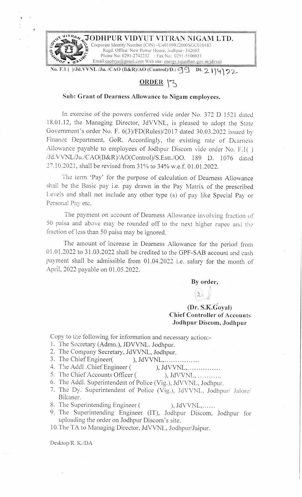

•.

# **ORDER ,-s**

### **Sub: Grant of Dearness Allowance to Nigam employees.**

In exercise of the powers conferred vide order No. 372 D 1521 dated 18.01.12, the Managing Director, JdVVNL, is pleased to adopt the State Government's order No. F. 6(3)/FD(Rules)/2017 dated 30.03.2022 issued by Finance Department, GoR. Accordingly, the existing rate of Dearness Allowance payable to employees of Jodhpur Discom vide order No. F.1() /Jd.V\lNL/Ju./CAO(B&R)/AO(Control)/S.Estt./OO. 189 D. 1076 dated 27.10.2021, shall be revised from 31 % to 34% w.e.f. 01.01.2022.

The term 'Pay' for the purpose of calculation of Dearness Aliowance shall be the Basic pay i.e. pay drawn in the Pay Matrix of the prescribed Levels and shall not include any other type (s) of pay like Special Pay or Personal Pay etc.

The payment on account of Dearness Allowance involving fraction of 50 paisa and above may be rounded off to the next higher rupee and the fraction of less than 50 paisa may be ignored.

The amount of increase in Dearness Allowance for the period from 01.01.2022 to 31.03.2022 shall be credited to the GPF-SAB account and cash payment shall be admissible from 01.04.2022 i.e. salary for the month of April, 2022 payable on 01.05.2022.

> **By order,**  *h*   $(2)$  $(2)$

# **(Dr. ~s:K:Goya** I) **Chief Controller of Accounts Jodhpur Discom, Jodhpur**

Copy to the following for information and necessary action:-

- 1. The Secretary (Admn.), JDVVNL. Jodhpur.
- 2. The Company Secretary, JdVVNL, Jodhpur.
- 3. The Chief Engineer( ), JdVVNL, ... ... ... ......
- 4. The Addl .Chief Engineer ( ), JdVVNL, ... ... ... ...

5. The Chief Accounts Officer ( ), JdVVNL, ...........

- 6. The Addl. Superintendent of Police (Vig.), JdVVNL, Jodhpur.
- 7. The Dy. Superintendent of Police (Vig.), JdVVNL, Jodhpur/ Jalore/ Bikaner.
- 8. The Superintending Engineer ( ), JdVVNL,......
- 9. The Superintending Engineer (IT), Jodhpur Discom, Jodhpur for uploading the order on Jodhpur Discom's site.

10.The TA to Managing Director, JdVVNL, Jodhpur/Jaipur.

Desktop/R. K./DA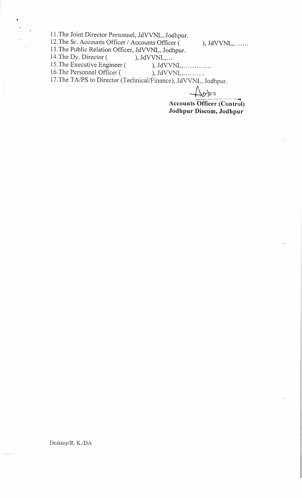11.The Joint Director Personnel, JdVVNL, Jodhpur.

12. The Sr. Accounts Officer / Accounts Officer ( ), JdVVNL, .......

13. The Public Relation Officer, JdVVNL, Jodhpur.<br>14. The Dy. Director (), JdVVNL,...

14. The Dy. Director (

15. The Executive Engineer ( ), JdVVNL, ... ... ... ...

•

16. The Personnel Officer ( ), JdVVNL, ... ... ...

17.The TA/PS to Director (Technical/Finance), JdVVNL, Jodhpur.

 $A$ <sup>*trice</sup>, southput.*<br>
Accounts Officer (Control)</sup> **Jodhpur Discom, Jodhpur** 

Desktop/R. K./DA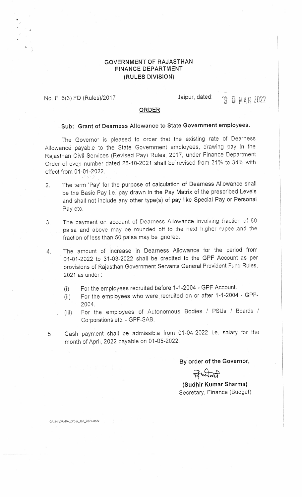## **GOVERNMENT OF RAJASTHAN FINANCE DEPARTMENT (RULES DIVISION)**

No. F. 6(3) FD (Rules)/2017

C:\JS-11\DA \DA\_Ord er \_Jan\_2022.docx

•<br>•

### Jaipur, dated:

**3 0 MAR 2022** 

# **ORDER**

## **Sub: Grant of Dearness Allowance to State Government employees.**

The Governor is pleased to order that the existing rate of Dearness Allowance payable to the State Government employees, drawing pay in the Rajasthan Civil Services (Revised Pay) Rules, 2017, under Finance Department Order of even number dated 25-10-2021 shall be revised from 31% to 34% with effect from 01-01-2022.

- 2. The term 'Pay' for the purpose of calculation of Dearness Allowance shall be the Basic Pay i.e. pay drawn in the Pay Matrix of the prescribed Levels and shall not include any other type(s) of pay like Special Pay or Personal Pay etc.
- 3. The payment on account of Dearness Allowance involving fraction of 50 paisa and above may be rounded off to the next higher rupee .and the fraction of less than 50 paisa may be ignored.
- 4. The amount of increase in Dearness Allowance for the period from 01-01-2022 to 31-03-2022 shall be credited to the GPF Account as per provisions of Rajasthan Government Servants General Provident Fund Rules, 2021 as under :
	- (i) For the employees recruited before 1-1-2004 GPF Account.
	- (ii) For the employees who were. recruited on or after 1-1-2004 GPF-2004.
	- (iii) For the employees of Autonomous Bodies / PSUs / Boards / Corporations etc. - GPF-SAB.
- 5. Cash payment shall be admissible from 01-04-2022 i.e. salary for the month of April, 2022 payable on 01-05-2022.

**By order of the Governor,** 

**(Sudttir Kumar Sharma)**  Secretary, Finance (Budget)